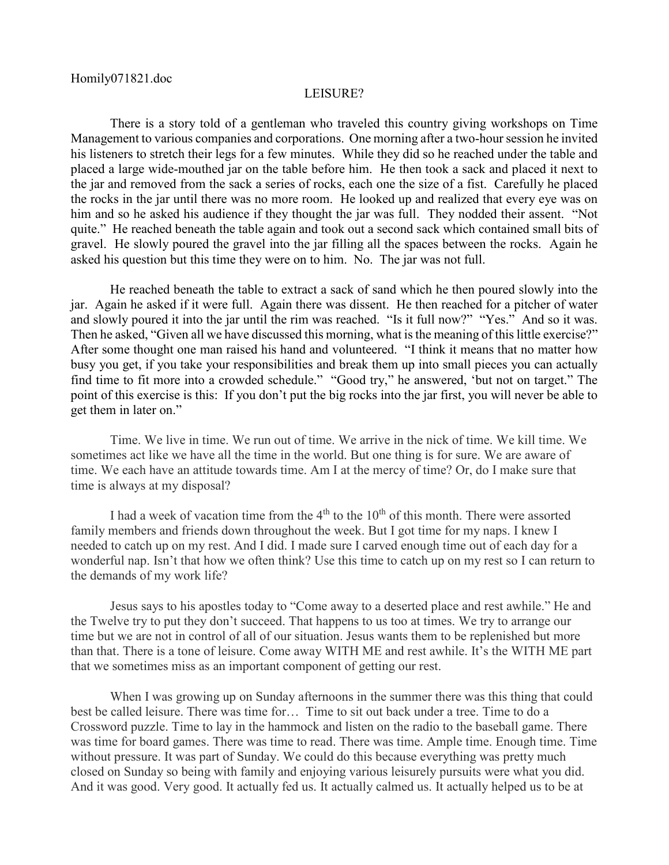## LEISURE?

There is a story told of a gentleman who traveled this country giving workshops on Time Management to various companies and corporations. One morning after a two-hour session he invited his listeners to stretch their legs for a few minutes. While they did so he reached under the table and placed a large wide-mouthed jar on the table before him. He then took a sack and placed it next to the jar and removed from the sack a series of rocks, each one the size of a fist. Carefully he placed the rocks in the jar until there was no more room. He looked up and realized that every eye was on him and so he asked his audience if they thought the jar was full. They nodded their assent. "Not quite." He reached beneath the table again and took out a second sack which contained small bits of gravel. He slowly poured the gravel into the jar filling all the spaces between the rocks. Again he asked his question but this time they were on to him. No. The jar was not full.

He reached beneath the table to extract a sack of sand which he then poured slowly into the jar. Again he asked if it were full. Again there was dissent. He then reached for a pitcher of water and slowly poured it into the jar until the rim was reached. "Is it full now?" "Yes." And so it was. Then he asked, "Given all we have discussed this morning, what is the meaning of this little exercise?" After some thought one man raised his hand and volunteered. "I think it means that no matter how busy you get, if you take your responsibilities and break them up into small pieces you can actually find time to fit more into a crowded schedule." "Good try," he answered, 'but not on target." The point of this exercise is this: If you don't put the big rocks into the jar first, you will never be able to get them in later on."

Time. We live in time. We run out of time. We arrive in the nick of time. We kill time. We sometimes act like we have all the time in the world. But one thing is for sure. We are aware of time. We each have an attitude towards time. Am I at the mercy of time? Or, do I make sure that time is always at my disposal?

I had a week of vacation time from the  $4<sup>th</sup>$  to the  $10<sup>th</sup>$  of this month. There were assorted family members and friends down throughout the week. But I got time for my naps. I knew I needed to catch up on my rest. And I did. I made sure I carved enough time out of each day for a wonderful nap. Isn't that how we often think? Use this time to catch up on my rest so I can return to the demands of my work life?

Jesus says to his apostles today to "Come away to a deserted place and rest awhile." He and the Twelve try to put they don't succeed. That happens to us too at times. We try to arrange our time but we are not in control of all of our situation. Jesus wants them to be replenished but more than that. There is a tone of leisure. Come away WITH ME and rest awhile. It's the WITH ME part that we sometimes miss as an important component of getting our rest.

When I was growing up on Sunday afternoons in the summer there was this thing that could best be called leisure. There was time for… Time to sit out back under a tree. Time to do a Crossword puzzle. Time to lay in the hammock and listen on the radio to the baseball game. There was time for board games. There was time to read. There was time. Ample time. Enough time. Time without pressure. It was part of Sunday. We could do this because everything was pretty much closed on Sunday so being with family and enjoying various leisurely pursuits were what you did. And it was good. Very good. It actually fed us. It actually calmed us. It actually helped us to be at